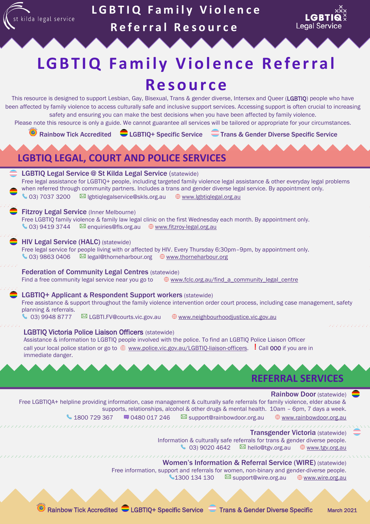

# **LGBTIQ Family Violence R e f e r r a l R e s o u r c e**



# **LGBTIQ Family Violence Referral R e s o u r c e**

This resource is designed to support Lesbian, Gay, Bisexual, Trans & gender diverse, Intersex and Queer (LGBTIQ) people who have been affected by family violence to access culturally safe and inclusive support services. Accessing support is often crucial to increasing safety and ensuring you can make the best decisions when you have been affected by family violence.

Please note this resource is only a guide. We cannot guarantee all services will be tailored or appropriate for your circumstances.

Rainbow Tick Accredited CLGBTIQ+ Specific Service CTrans & Gender Diverse Specific Service

### **LGBTIQ LEGAL, COURT AND POLICE SERVICES** LGBTIQ Legal Service @ St Kilda Legal Service (statewide) Free legal assistance for LGBTIQ+ people, including targeted family violence legal assistance & other everyday legal problems when referred through community partners. Includes a trans and gender diverse legal service. By appointment only.  $\bigcup$  03) 7037 3200  $\boxtimes$  lgbtiqlegalservice@skls.org.au  $\oplus$  [www.lgbtiqlegal.org.au](http://www.lgbtiqlegal.org.au/)

#### **Fitzroy Legal Service (Inner Melbourne)**

Free LGBTIQ family violence & family law legal clinic on the first Wednesday each month. By appointment only. 103) 9419 3744 M enquiries@fls.org.au <sup>
■</sup> [www.fitzroy-legal.org.au](http://www.fitzroy-legal.org.au/)

#### HIV Legal Service (HALC) (statewide)

Free legal service for people living with or affected by HIV. Every Thursday 6:30pm–9pm, by appointment only.  $\bigcup$  03) 9863 0406  $\boxtimes$  legal@thorneharbour.org  $\oplus$  [www.thorneharbour.org](http://www.thorneharbour.org/)

#### Federation of Community Legal Centres (statewide)

Find a free community legal service near you go to  $\oplus$  [www.fclc.org.au/find\\_a\\_community\\_legal\\_centre](http://www.fclc.org.au/find_a_community_legal_centre)

#### LGBTIQ+ Applicant & Respondent Support workers (statewide)

Free assistance & support throughout the family violence intervention order court process, including case management, safety planning & referrals.

03) 9948 8777  $\boxtimes$  LGBTI.FV@courts.vic.gov.au  $\oplus$  [www.neighbourhoodjustice.vic.gov.au](http://www.neighbourhoodjustice.vic.gov.au/our-services/support-services/family-violence-support-services)

#### LGBTIQ Victoria Police Liaison Officers (statewide)

,,,,,,,,,,,,,,,,,,,,,,,,,,,,,

Assistance & information to LGBTIQ people involved with the police. To find an LGBTIQ Police Liaison Officer call your local police station or go to  $\bigcirc$  [www.police.vic.gov.au/LGBTIQ-liaison-officers.](http://www.police.vic.gov.au/LGBTIQ-liaison-officers) I call 000 if you are in immediate danger.

## **REFERRAL SERVICES**

#### Rainbow Door (statewide)

Free LGBTIQA+ helpline providing information, case management & culturally safe referrals for family violence, elder abuse & supports, relationships, alcohol & other drugs & mental health. 10am – 6pm, 7 days a week. 1800 729 367  $\blacksquare$  0480 017 246  $\blacksquare$  support@rainbowdoor.org.au  $\blacksquare$  [www.rainbowdoor.org.au](http://www.rainbowdoor.org.au/)

#### ,,,,,,,,,,,,,,,,,,,,,,,,,, Transgender Victoria (statewide)

Information & culturally safe referrals for trans & gender diverse people.  $\bullet$  03) 9020 4642  $\blacksquare$  hello@tgv.org.au  $\blacksquare$  [www.tgv.org.au](http://www.tgv.org.au/)

Women's Information & Referral Service (WIRE) (statewide) Free information, support and referrals for women, non-binary and gender-diverse people. 1300 134 130 Support@wire.org.au <sup>@</sup> [www.wire.org.au](http://www.wire.org.au/)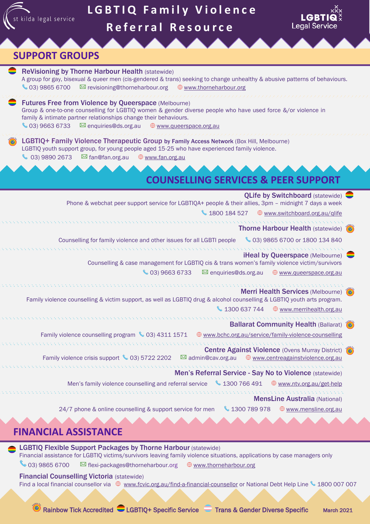

## **FINANCIAL ASSISTANCE**

LGBTIQ Flexible Support Packages by Thorne Harbour (statewide) Financial assistance for LGBTIQ victims/survivors leaving family violence situations, applications by case managers only

03) 9865 6700  $\boxtimes$  flexi-packages@thorneharbour.org  $\oplus$  [www.thorneharbour.org](http://www.thorneharbour.org/)

#### Financial Counselling Victoria (statewide)

Find a local financial counsellor via  $\oplus$  [www.fcvic.org.au/find-a-financial-counsellor](http://www.fcvic.org.au/find-a-financial-counsellor) or National Debt Help Line \ 1800 007 007